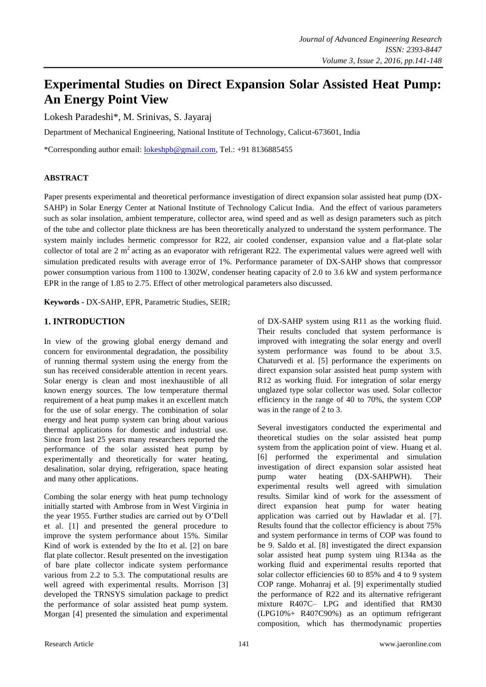# **Experimental Studies on Direct Expansion Solar Assisted Heat Pump: An Energy Point View**

Lokesh Paradeshi\*, M. Srinivas, S. Jayaraj

Department of Mechanical Engineering, National Institute of Technology, Calicut-673601, India

\*Corresponding author email: [lokeshpb@gmail.com,](mailto:lokeshpb@gmail.com) Tel.: +91 8136885455

### **ABSTRACT**

Paper presents experimental and theoretical performance investigation of direct expansion solar assisted heat pump (DX-SAHP) in Solar Energy Center at National Institute of Technology Calicut India. And the effect of various parameters such as solar insolation, ambient temperature, collector area, wind speed and as well as design parameters such as pitch of the tube and collector plate thickness are has been theoretically analyzed to understand the system performance. The system mainly includes hermetic compressor for R22, air cooled condenser, expansion value and a flat-plate solar collector of total are  $2 \text{ m}^2$  acting as an evaporator with refrigerant R22. The experimental values were agreed well with simulation predicated results with average error of 1%. Performance parameter of DX-SAHP shows that compressor power consumption various from 1100 to 1302W, condenser heating capacity of 2.0 to 3.6 kW and system performance EPR in the range of 1.85 to 2.75. Effect of other metrological parameters also discussed.

**Keywords -** DX-SAHP, EPR, Parametric Studies, SEIR;

# **1. INTRODUCTION**

In view of the growing global energy demand and concern for environmental degradation, the possibility of running thermal system using the energy from the sun has received considerable attention in recent years. Solar energy is clean and most inexhaustible of all known energy sources. The low temperature thermal requirement of a heat pump makes it an excellent match for the use of solar energy. The combination of solar energy and heat pump system can bring about various thermal applications for domestic and industrial use. Since from last 25 years many researchers reported the performance of the solar assisted heat pump by experimentally and theoretically for water heating, desalination, solar drying, refrigeration, space heating and many other applications.

Combing the solar energy with heat pump technology initially started with Ambrose from in West Virginia in the year 1955. Further studies are carried out by O'Dell et al. [1] and presented the general procedure to improve the system performance about 15%. Similar Kind of work is extended by the Ito et al. [2] on bare flat plate collector. Result presented on the investigation of bare plate collector indicate system performance various from 2.2 to 5.3. The computational results are well agreed with experimental results. Morrison [3] developed the TRNSYS simulation package to predict the performance of solar assisted heat pump system. Morgan [4] presented the simulation and experimental

of DX-SAHP system using R11 as the working fluid. Their results concluded that system performance is improved with integrating the solar energy and overll system performance was found to be about 3.5. Chaturvedi et al. [5] performance the experiments on direct expansion solar assisted heat pump system with R12 as working fluid. For integration of solar energy unglazed type solar collector was used. Solar collector efficiency in the range of 40 to 70%, the system COP was in the range of 2 to 3.

Several investigators conducted the experimental and theoretical studies on the solar assisted heat pump system from the application point of view. Huang et al. [6] performed the experimental and simulation investigation of direct expansion solar assisted heat pump water heating (DX-SAHPWH). Their experimental results well agreed with simulation results. Similar kind of work for the assessment of direct expansion heat pump for water heating application was carried out by Hawladar et al. [7]. Results found that the collector efficiency is about 75% and system performance in terms of COP was found to be 9. Saldo et al. [8] investigated the direct expansion solar assisted heat pump system uing R134a as the working fluid and experimental results reported that solar collector efficiencies 60 to 85% and 4 to 9 system COP range. Mohanraj et al. [9] experimentally studied the performance of R22 and its alternative refrigerant mixture R407C– LPG and identified that RM30 (LPG10%+ R407C90%) as an optimum refrigerant composition, which has thermodynamic properties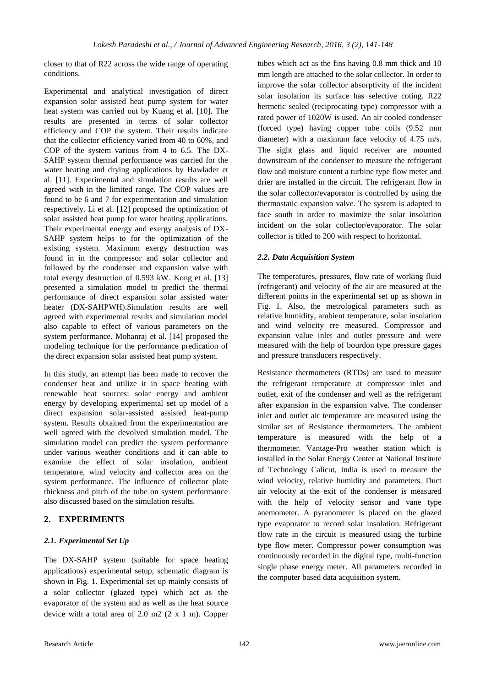closer to that of R22 across the wide range of operating conditions.

Experimental and analytical investigation of direct expansion solar assisted heat pump system for water heat system was carried out by Kuang et al. [10]. The results are presented in terms of solar collector efficiency and COP the system. Their results indicate that the collector efficiency varied from 40 to 60%, and COP of the system various from 4 to 6.5. The DX-SAHP system thermal performance was carried for the water heating and drying applications by Hawlader et al. [11]. Experimental and simulation results are well agreed with in the limited range. The COP values are found to be 6 and 7 for experimentation and simulation respectively. Li et al. [12] proposed the optimization of solar assisted heat pump for water heating applications. Their experimental energy and exergy analysis of DX-SAHP system helps to for the optimization of the existing system. Maximum exergy destruction was found in in the compressor and solar collector and followed by the condenser and expansion valve with total exergy destruction of 0.593 kW. Kong et al. [13] presented a simulation model to predict the thermal performance of direct expansion solar assisted water heater (DX-SAHPWH).Simulation results are well agreed with experimental results and simulation model also capable to effect of various parameters on the system performance. Mohanraj et al. [14] proposed the modeling technique for the performance predication of the direct expansion solar assisted heat pump system.

In this study, an attempt has been made to recover the condenser heat and utilize it in space heating with renewable heat sources: solar energy and ambient energy by developing experimental set up model of a direct expansion solar-assisted assisted heat-pump system. Results obtained from the experimentation are well agreed with the devolved simulation model. The simulation model can predict the system performance under various weather conditions and it can able to examine the effect of solar insolation, ambient temperature, wind velocity and collector area on the system performance. The influence of collector plate thickness and pitch of the tube on system performance also discussed based on the simulation results.

## **2. EXPERIMENTS**

## *2.1. Experimental Set Up*

The DX-SAHP system (suitable for space heating applications) experimental setup, schematic diagram is shown in Fig. 1. Experimental set up mainly consists of a solar collector (glazed type) which act as the evaporator of the system and as well as the heat source device with a total area of 2.0 m2 (2 x 1 m). Copper

tubes which act as the fins having 0.8 mm thick and 10 mm length are attached to the solar collector. In order to improve the solar collector absorptivity of the incident solar insolation its surface has selective coting. R22 hermetic sealed (reciprocating type) compressor with a rated power of 1020W is used. An air cooled condenser (forced type) having copper tube coils (9.52 mm diameter) with a maximum face velocity of 4.75 m/s. The sight glass and liquid receiver are mounted downstream of the condenser to measure the refrigerant flow and moisture content a turbine type flow meter and drier are installed in the circuit. The refrigerant flow in the solar collector/evaporator is controlled by using the thermostatic expansion valve. The system is adapted to face south in order to maximize the solar insolation incident on the solar collector/evaporator. The solar collector is titled to 200 with respect to horizontal.

### *2.2. Data Acquisition System*

The temperatures, pressures, flow rate of working fluid (refrigerant) and velocity of the air are measured at the different points in the experimental set up as shown in Fig. 1. Also, the metrological parameters such as relative humidity, ambient temperature, solar insolation and wind velocity rre measured. Compressor and expansion value inlet and outlet pressure and were measured with the help of bourdon type pressure gages and pressure transducers respectively.

Resistance thermometers (RTDs) are used to measure the refrigerant temperature at compressor inlet and outlet, exit of the condenser and well as the refrigerant after expansion in the expansion valve. The condenser inlet and outlet air temperature are measured using the similar set of Resistance thermometers. The ambient temperature is measured with the help of a thermometer. Vantage-Pro weather station which is installed in the Solar Energy Center at National Institute of Technology Calicut, India is used to measure the wind velocity, relative humidity and parameters. Duct air velocity at the exit of the condenser is measured with the help of velocity sensor and vane type anemometer. A pyranometer is placed on the glazed type evaporator to record solar insolation. Refrigerant flow rate in the circuit is measured using the turbine type flow meter. Compressor power consumption was continuously recorded in the digital type, multi-function single phase energy meter. All parameters recorded in the computer based data acquisition system.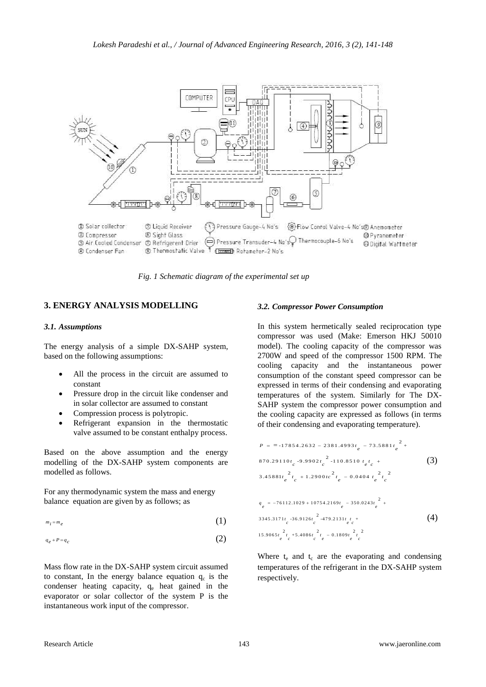

*Fig. 1 Schematic diagram of the experimental set up*

### **3. ENERGY ANALYSIS MODELLING**

#### *3.1. Assumptions*

The energy analysis of a simple DX-SAHP system, based on the following assumptions:

- All the process in the circuit are assumed to constant
- Pressure drop in the circuit like condenser and in solar collector are assumed to constant
- Compression process is polytropic.
- Refrigerant expansion in the thermostatic valve assumed to be constant enthalpy process.

Based on the above assumption and the energy modelling of the DX-SAHP system components are modelled as follows.

For any thermodynamic system the mass and energy balance equation are given by as follows; as

$$
m_i = m_e \tag{1}
$$

$$
q_e + P = q_c \tag{2}
$$

Mass flow rate in the DX-SAHP system circuit assumed to constant, In the energy balance equation  $q_c$  is the condenser heating capacity,  $q_e$  heat gained in the evaporator or solar collector of the system P is the instantaneous work input of the compressor.

#### *3.2. Compressor Power Consumption*

In this system hermetically sealed reciprocation type compressor was used (Make: Emerson HKJ 50010 model). The cooling capacity of the compressor was 2700W and speed of the compressor 1500 RPM. The cooling capacity and the instantaneous power consumption of the constant speed compressor can be expressed in terms of their condensing and evaporating temperatures of the system. Similarly for The DX-SAHP system the compressor power consumption and the cooling capacity are expressed as follows (in terms of their condensing and evaporating temperature).

$$
P = -17854.2632 - 2381.4993t_e - 73.5881t_e^2 +
$$
  
\n870.29110t<sub>c</sub> -9.9902t<sub>c</sub><sup>2</sup> -110.8510t<sub>e</sub>t<sub>c</sub> +  
\n3.45881t<sub>e</sub><sup>2</sup>t<sub>c</sub> +1.2900tc<sup>2</sup>t<sub>e</sub> -0.0404t<sub>e</sub><sup>2</sup>t<sub>c</sub><sup>2</sup>  
\n
$$
q_e = -76112.1029 + 10754.2169t_e - 350.0243t_e^2 +
$$
  
\n3345.3171t<sub>c</sub> -36.9126t<sub>c</sub><sup>2</sup> -479.2131t<sub>e</sub>t +  
\n15.9065t<sub>e</sub><sup>2</sup>t<sub>c</sub> +5.4086t<sub>c</sub><sup>2</sup>t<sub>e</sub> - 0.1809t<sub>e</sub><sup>2</sup>t<sub>c</sub><sup>2</sup>

Where  $t_e$  and  $t_c$  are the evaporating and condensing temperatures of the refrigerant in the DX-SAHP system respectively.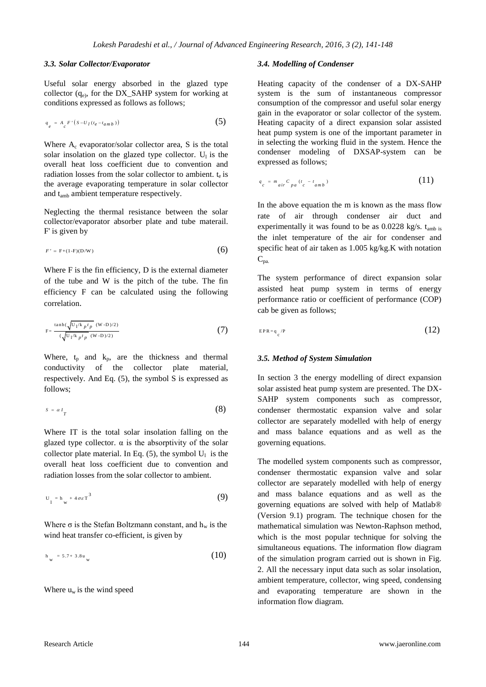#### *3.3. Solar Collector/Evaporator*

Useful solar energy absorbed in the glazed type collector  $(q_e)$ , for the DX\_SAHP system for working at conditions expressed as follows as follows;

$$
q_e = A_c F' (s - U_I (t_e - t_{amb}))
$$
 (5)

Where  $A_c$  evaporator/solar collector area, S is the total solar insolation on the glazed type collector.  $U_1$  is the overall heat loss coefficient due to convention and radiation losses from the solar collector to ambient.  $t_e$  is the average evaporating temperature in solar collector and tamb ambient temperature respectively.

Neglecting the thermal resistance between the solar collector/evaporator absorber plate and tube materail. F' is given by

$$
F' = F + (1-F)(D/W) \tag{6}
$$

Where F is the fin efficiency, D is the external diameter of the tube and W is the pitch of the tube. The fin efficiency F can be calculated using the following correlation.

$$
F = \frac{\tanh(\sqrt{U_1/k_p t_p} \cdot (W - D)/2)}{(\sqrt{U_1/k_p t_p} \cdot (W - D)/2)}
$$
(7)

Where,  $t_p$  and  $k_p$ , are the thickness and thermal conductivity of the collector plate material, respectively. And Eq. (5), the symbol S is expressed as follows;

$$
s = \alpha I_T \tag{8}
$$

Where IT is the total solar insolation falling on the glazed type collector.  $\alpha$  is the absorptivity of the solar collector plate material. In Eq.  $(5)$ , the symbol  $U_1$  is the overall heat loss coefficient due to convention and radiation losses from the solar collector to ambient.

$$
U_1 = h_w + 4\sigma \varepsilon T^3 \tag{9}
$$

Where  $\sigma$  is the Stefan Boltzmann constant, and  $h_w$  is the wind heat transfer co-efficient, is given by

$$
h_w = 5.7 + 3.8u_w
$$
 (10)

Where  $u_w$  is the wind speed

#### *3.4. Modelling of Condenser*

Heating capacity of the condenser of a DX-SAHP system is the sum of instantaneous compressor consumption of the compressor and useful solar energy gain in the evaporator or solar collector of the system. Heating capacity of a direct expansion solar assisted heat pump system is one of the important parameter in in selecting the working fluid in the system. Hence the condenser modeling of DXSAP-system can be expressed as follows;

$$
q_c = m_{air} C_{pa} (t_c - t_{amb}) \tag{11}
$$

In the above equation the m is known as the mass flow rate of air through condenser air duct and experimentally it was found to be as  $0.0228$  kg/s.  $t_{amb}$  is the inlet temperature of the air for condenser and specific heat of air taken as 1.005 kg/kg.K with notation  $C_{pa.}$ 

The system performance of direct expansion solar assisted heat pump system in terms of energy performance ratio or coefficient of performance (COP) cab be given as follows;

$$
EPR = q_{C} / P \tag{12}
$$

#### *3.5. Method of System Simulation*

In section 3 the energy modelling of direct expansion solar assisted heat pump system are presented. The DX-SAHP system components such as compressor, condenser thermostatic expansion valve and solar collector are separately modelled with help of energy and mass balance equations and as well as the governing equations.

The modelled system components such as compressor, condenser thermostatic expansion valve and solar collector are separately modelled with help of energy and mass balance equations and as well as the governing equations are solved with help of Matlab® (Version 9.1) program. The technique chosen for the mathematical simulation was Newton-Raphson method, which is the most popular technique for solving the simultaneous equations. The information flow diagram of the simulation program carried out is shown in Fig. 2. All the necessary input data such as solar insolation, ambient temperature, collector, wing speed, condensing and evaporating temperature are shown in the information flow diagram.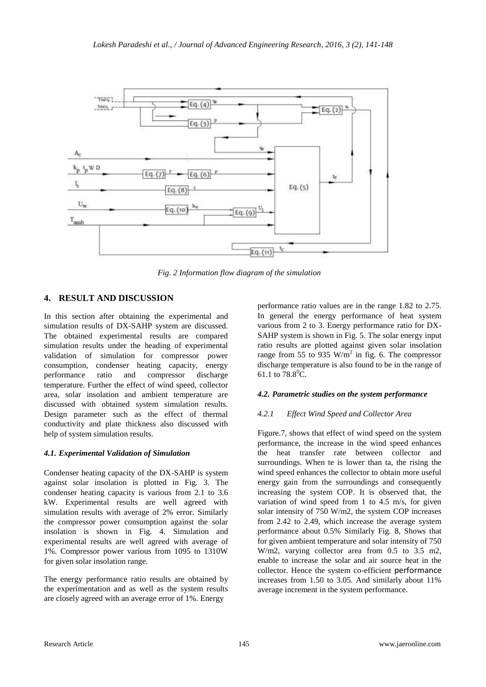

*Fig. 2 Information flow diagram of the simulation*

# **4. RESULT AND DISCUSSION**

In this section after obtaining the experimental and simulation results of DX-SAHP system are discussed. The obtained experimental results are compared simulation results under the heading of experimental validation of simulation for compressor power consumption, condenser heating capacity, energy performance ratio and compressor discharge temperature. Further the effect of wind speed, collector area, solar insolation and ambient temperature are discussed with obtained system simulation results. Design parameter such as the effect of thermal conductivity and plate thickness also discussed with help of system simulation results.

## *4.1. Experimental Validation of Simulation*

Condenser heating capacity of the DX-SAHP is system against solar insolation is plotted in Fig. 3. The condenser heating capacity is various from 2.1 to 3.6 kW. Experimental results are well agreed with simulation results with average of 2% error. Similarly the compressor power consumption against the solar insolation is shown in Fig. 4. Simulation and experimental results are well agreed with average of 1%. Compressor power various from 1095 to 1310W for given solar insolation range.

The energy performance ratio results are obtained by the experimentation and as well as the system results are closely agreed with an average error of 1%. Energy

performance ratio values are in the range 1.82 to 2.75. In general the energy performance of heat system various from 2 to 3. Energy performance ratio for DX-SAHP system is shown in Fig. 5. The solar energy input ratio results are plotted against given solar insolation range from 55 to 935  $W/m^2$  in fig. 6. The compressor discharge temperature is also found to be in the range of 61.1 to  $78.8^{\circ}$ C.

## *4.2. Parametric studies on the system performance*

## *4.2.1 Effect Wind Speed and Collector Area*

Figure.7, shows that effect of wind speed on the system performance, the increase in the wind speed enhances the heat transfer rate between collector and surroundings. When te is lower than ta, the rising the wind speed enhances the collector to obtain more useful energy gain from the surroundings and consequently increasing the system COP. It is observed that, the variation of wind speed from 1 to 4.5 m/s, for given solar intensity of 750 W/m2, the system COP increases from 2.42 to 2.49, which increase the average system performance about 0.5% Similarly Fig. 8, Shows that for given ambient temperature and solar intensity of 750 W/m2, varying collector area from 0.5 to 3.5 m2, enable to increase the solar and air source heat in the collector. Hence the system co-efficient performance increases from 1.50 to 3.05. And similarly about 11% average increment in the system performance.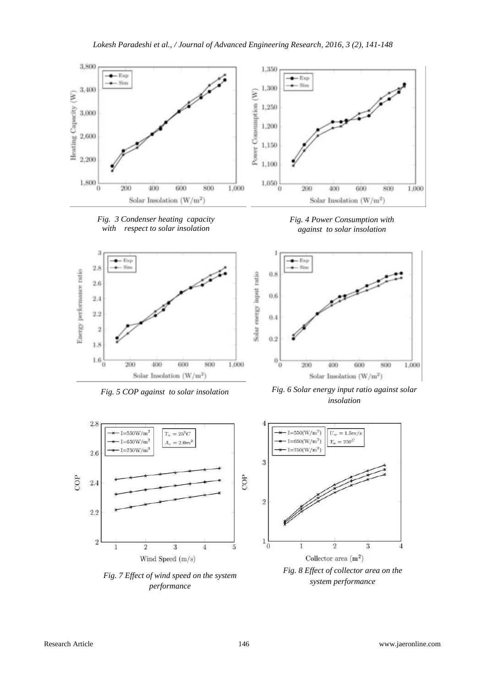





*performance*









 $\Lambda$ 

*system performance*

-4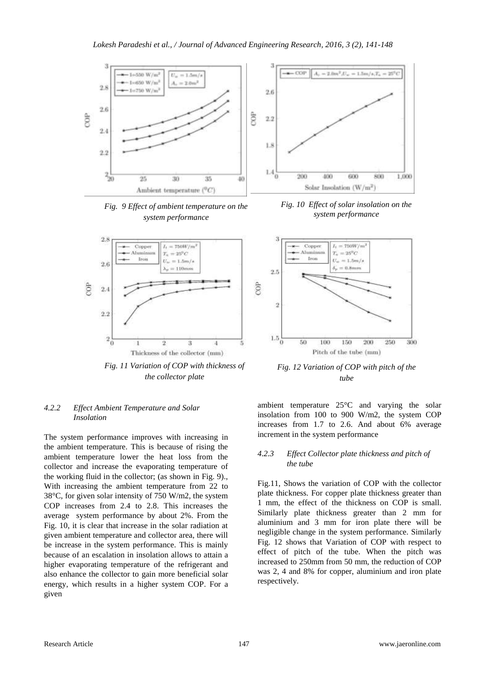

*Fig. 9 Effect of ambient temperature on the system performance*



*Fig. 11 Variation of COP with thickness of the collector plate*

### *4.2.2 Effect Ambient Temperature and Solar Insolation*

The system performance improves with increasing in the ambient temperature. This is because of rising the ambient temperature lower the heat loss from the collector and increase the evaporating temperature of the working fluid in the collector; (as shown in Fig. 9)., With increasing the ambient temperature from 22 to 38°C, for given solar intensity of 750 W/m2, the system COP increases from 2.4 to 2.8. This increases the average system performance by about 2%. From the Fig. 10, it is clear that increase in the solar radiation at given ambient temperature and collector area, there will be increase in the system performance. This is mainly because of an escalation in insolation allows to attain a higher evaporating temperature of the refrigerant and also enhance the collector to gain more beneficial solar energy, which results in a higher system COP. For a given



*Fig. 10 Effect of solar insolation on the system performance*



*Fig. 12 Variation of COP with pitch of the tube*

ambient temperature 25°C and varying the solar insolation from 100 to 900 W/m2, the system COP increases from 1.7 to 2.6. And about 6% average increment in the system performance

#### *4.2.3 Effect Collector plate thickness and pitch of the tube*

Fig.11, Shows the variation of COP with the collector plate thickness. For copper plate thickness greater than 1 mm, the effect of the thickness on COP is small. Similarly plate thickness greater than 2 mm for aluminium and 3 mm for iron plate there will be negligible change in the system performance. Similarly Fig. 12 shows that Variation of COP with respect to effect of pitch of the tube. When the pitch was increased to 250mm from 50 mm, the reduction of COP was 2, 4 and 8% for copper, aluminium and iron plate respectively.